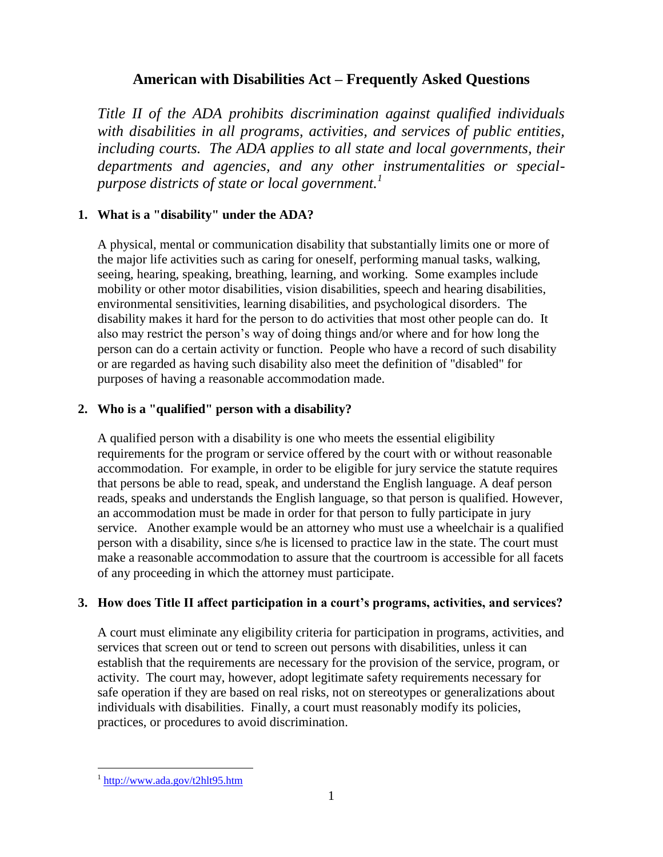# **American with Disabilities Act – Frequently Asked Questions**

*Title II of the ADA prohibits discrimination against qualified individuals with disabilities in all programs, activities, and services of public entities, including courts. The ADA applies to all state and local governments, their departments and agencies, and any other instrumentalities or specialpurpose districts of state or local government.<sup>1</sup>*

## **1. What is a "disability" under the ADA?**

A physical, mental or communication disability that substantially limits one or more of the major life activities such as caring for oneself, performing manual tasks, walking, seeing, hearing, speaking, breathing, learning, and working. Some examples include mobility or other motor disabilities, vision disabilities, speech and hearing disabilities, environmental sensitivities, learning disabilities, and psychological disorders. The disability makes it hard for the person to do activities that most other people can do. It also may restrict the person's way of doing things and/or where and for how long the person can do a certain activity or function. People who have a record of such disability or are regarded as having such disability also meet the definition of "disabled" for purposes of having a reasonable accommodation made.

## **2. Who is a "qualified" person with a disability?**

A qualified person with a disability is one who meets the essential eligibility requirements for the program or service offered by the court with or without reasonable accommodation. For example, in order to be eligible for jury service the statute requires that persons be able to read, speak, and understand the English language. A deaf person reads, speaks and understands the English language, so that person is qualified. However, an accommodation must be made in order for that person to fully participate in jury service. Another example would be an attorney who must use a wheelchair is a qualified person with a disability, since s/he is licensed to practice law in the state. The court must make a reasonable accommodation to assure that the courtroom is accessible for all facets of any proceeding in which the attorney must participate.

## **3. How does Title II affect participation in a court's programs, activities, and services?**

A court must eliminate any eligibility criteria for participation in programs, activities, and services that screen out or tend to screen out persons with disabilities, unless it can establish that the requirements are necessary for the provision of the service, program, or activity. The court may, however, adopt legitimate safety requirements necessary for safe operation if they are based on real risks, not on stereotypes or generalizations about individuals with disabilities. Finally, a court must reasonably modify its policies, practices, or procedures to avoid discrimination.

<sup>&</sup>lt;sup>1</sup> <http://www.ada.gov/t2hlt95.htm>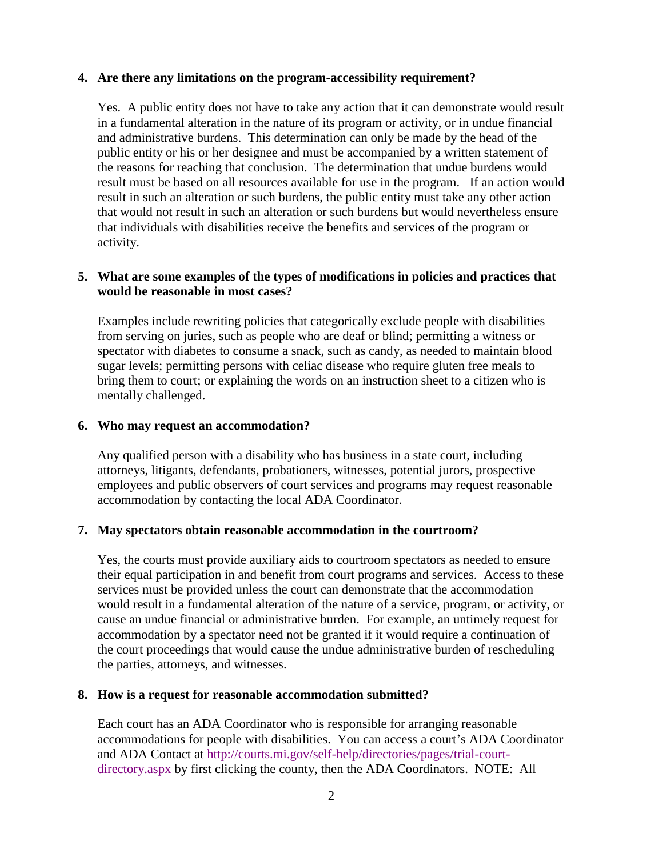### **4. Are there any limitations on the program-accessibility requirement?**

Yes. A public entity does not have to take any action that it can demonstrate would result in a fundamental alteration in the nature of its program or activity, or in undue financial and administrative burdens. This determination can only be made by the head of the public entity or his or her designee and must be accompanied by a written statement of the reasons for reaching that conclusion. The determination that undue burdens would result must be based on all resources available for use in the program. If an action would result in such an alteration or such burdens, the public entity must take any other action that would not result in such an alteration or such burdens but would nevertheless ensure that individuals with disabilities receive the benefits and services of the program or activity.

## **5. What are some examples of the types of modifications in policies and practices that would be reasonable in most cases?**

Examples include rewriting policies that categorically exclude people with disabilities from serving on juries, such as people who are deaf or blind; permitting a witness or spectator with diabetes to consume a snack, such as candy, as needed to maintain blood sugar levels; permitting persons with celiac disease who require gluten free meals to bring them to court; or explaining the words on an instruction sheet to a citizen who is mentally challenged.

### **6. Who may request an accommodation?**

Any qualified person with a disability who has business in a state court, including attorneys, litigants, defendants, probationers, witnesses, potential jurors, prospective employees and public observers of court services and programs may request reasonable accommodation by contacting the local ADA Coordinator.

### **7. May spectators obtain reasonable accommodation in the courtroom?**

Yes, the courts must provide auxiliary aids to courtroom spectators as needed to ensure their equal participation in and benefit from court programs and services. Access to these services must be provided unless the court can demonstrate that the accommodation would result in a fundamental alteration of the nature of a service, program, or activity, or cause an undue financial or administrative burden. For example, an untimely request for accommodation by a spectator need not be granted if it would require a continuation of the court proceedings that would cause the undue administrative burden of rescheduling the parties, attorneys, and witnesses.

#### **8. How is a request for reasonable accommodation submitted?**

Each court has an ADA Coordinator who is responsible for arranging reasonable accommodations for people with disabilities. You can access a court's ADA Coordinator and ADA Contact at [http://courts.mi.gov/self-help/directories/pages/trial-court](http://courts.mi.gov/self-help/directories/pages/trial-court-directory.aspx)[directory.aspx](http://courts.mi.gov/self-help/directories/pages/trial-court-directory.aspx) by first clicking the county, then the ADA Coordinators. NOTE: All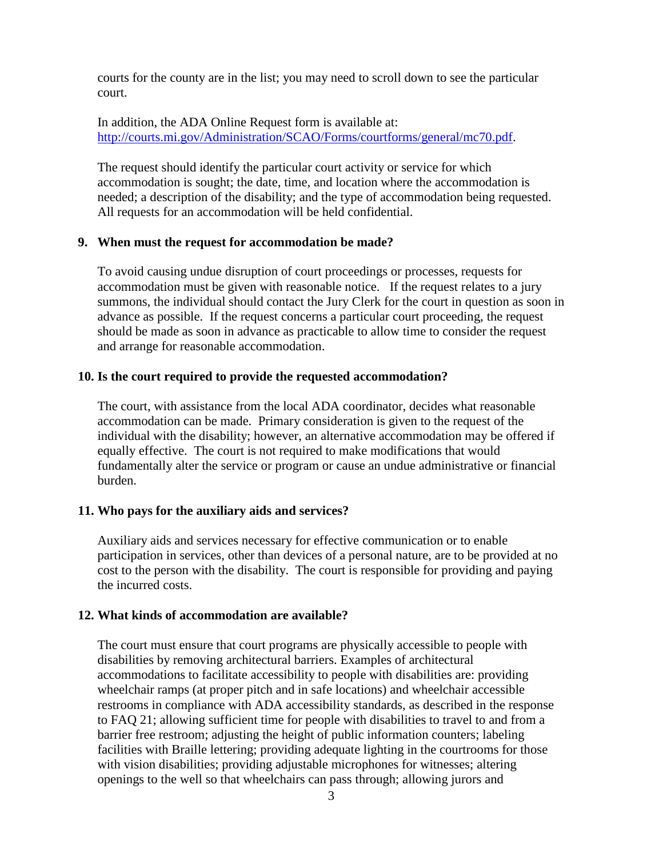courts for the county are in the list; you may need to scroll down to see the particular court.

In addition, the ADA Online Request form is available at: [http://courts.mi.gov/Administration/SCAO/Forms/courtforms/general/mc70.pdf.](http://courts.mi.gov/Administration/SCAO/Forms/courtforms/general/mc70.pdf)

The request should identify the particular court activity or service for which accommodation is sought; the date, time, and location where the accommodation is needed; a description of the disability; and the type of accommodation being requested. All requests for an accommodation will be held confidential.

#### **9. When must the request for accommodation be made?**

To avoid causing undue disruption of court proceedings or processes, requests for accommodation must be given with reasonable notice. If the request relates to a jury summons, the individual should contact the Jury Clerk for the court in question as soon in advance as possible. If the request concerns a particular court proceeding, the request should be made as soon in advance as practicable to allow time to consider the request and arrange for reasonable accommodation.

#### **10. Is the court required to provide the requested accommodation?**

The court, with assistance from the local ADA coordinator, decides what reasonable accommodation can be made. Primary consideration is given to the request of the individual with the disability; however, an alternative accommodation may be offered if equally effective. The court is not required to make modifications that would fundamentally alter the service or program or cause an undue administrative or financial burden.

### **11. Who pays for the auxiliary aids and services?**

Auxiliary aids and services necessary for effective communication or to enable participation in services, other than devices of a personal nature, are to be provided at no cost to the person with the disability. The court is responsible for providing and paying the incurred costs.

### **12. What kinds of accommodation are available?**

The court must ensure that court programs are physically accessible to people with disabilities by removing architectural barriers. Examples of architectural accommodations to facilitate accessibility to people with disabilities are: providing wheelchair ramps (at proper pitch and in safe locations) and wheelchair accessible restrooms in compliance with ADA accessibility standards, as described in the response to FAQ 21; allowing sufficient time for people with disabilities to travel to and from a barrier free restroom; adjusting the height of public information counters; labeling facilities with Braille lettering; providing adequate lighting in the courtrooms for those with vision disabilities; providing adjustable microphones for witnesses; altering openings to the well so that wheelchairs can pass through; allowing jurors and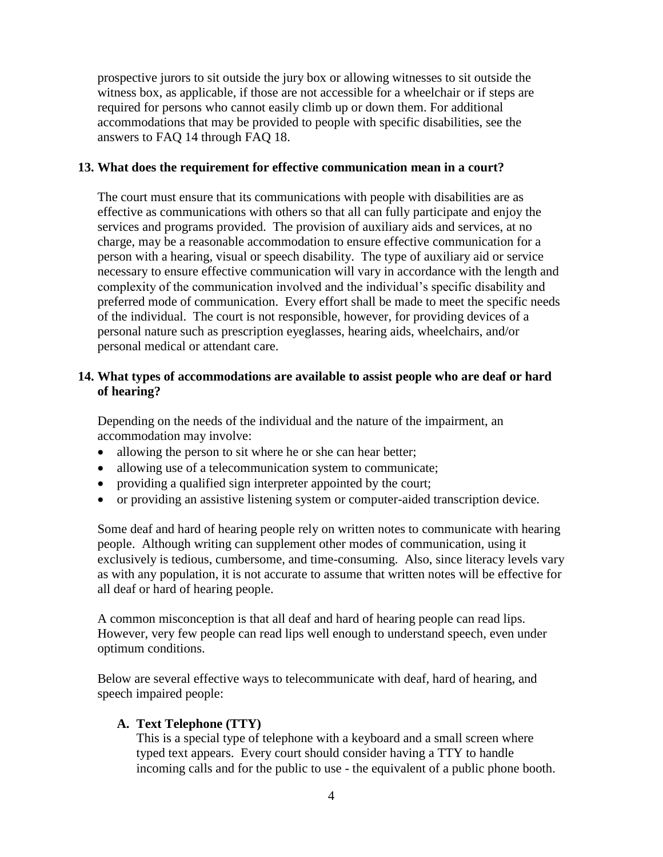prospective jurors to sit outside the jury box or allowing witnesses to sit outside the witness box, as applicable, if those are not accessible for a wheelchair or if steps are required for persons who cannot easily climb up or down them. For additional accommodations that may be provided to people with specific disabilities, see the answers to FAQ 14 through FAQ 18.

### **13. What does the requirement for effective communication mean in a court?**

The court must ensure that its communications with people with disabilities are as effective as communications with others so that all can fully participate and enjoy the services and programs provided. The provision of auxiliary aids and services, at no charge, may be a reasonable accommodation to ensure effective communication for a person with a hearing, visual or speech disability. The type of auxiliary aid or service necessary to ensure effective communication will vary in accordance with the length and complexity of the communication involved and the individual's specific disability and preferred mode of communication. Every effort shall be made to meet the specific needs of the individual. The court is not responsible, however, for providing devices of a personal nature such as prescription eyeglasses, hearing aids, wheelchairs, and/or personal medical or attendant care.

## **14. What types of accommodations are available to assist people who are deaf or hard of hearing?**

Depending on the needs of the individual and the nature of the impairment, an accommodation may involve:

- allowing the person to sit where he or she can hear better;
- allowing use of a telecommunication system to communicate;
- providing a qualified sign interpreter appointed by the court;
- or providing an assistive listening system or computer-aided transcription device.

Some deaf and hard of hearing people rely on written notes to communicate with hearing people. Although writing can supplement other modes of communication, using it exclusively is tedious, cumbersome, and time-consuming. Also, since literacy levels vary as with any population, it is not accurate to assume that written notes will be effective for all deaf or hard of hearing people.

A common misconception is that all deaf and hard of hearing people can read lips. However, very few people can read lips well enough to understand speech, even under optimum conditions.

Below are several effective ways to telecommunicate with deaf, hard of hearing, and speech impaired people:

## **A. Text Telephone (TTY)**

This is a special type of telephone with a keyboard and a small screen where typed text appears. Every court should consider having a TTY to handle incoming calls and for the public to use - the equivalent of a public phone booth.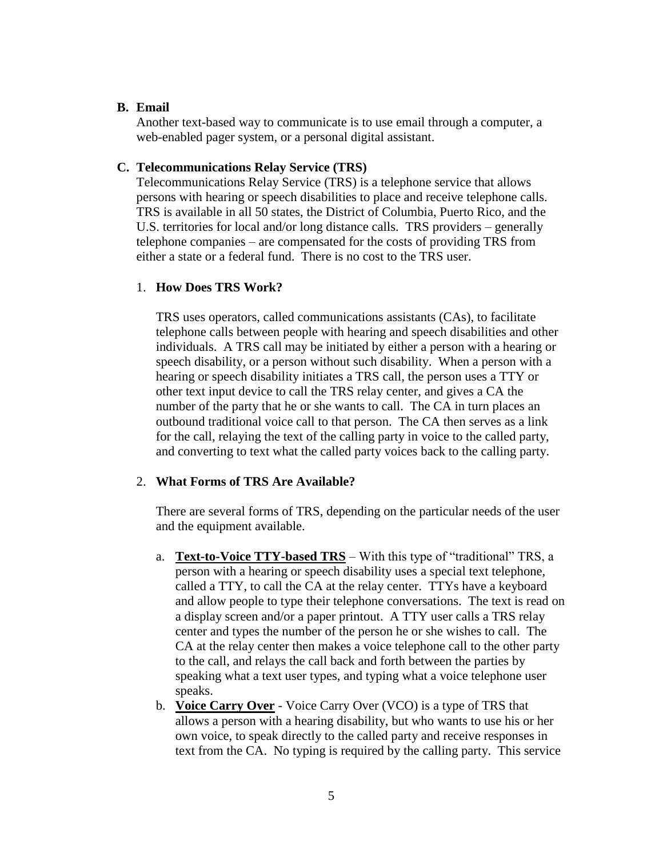### **B. Email**

Another text-based way to communicate is to use email through a computer, a web-enabled pager system, or a personal digital assistant.

#### **C. Telecommunications Relay Service (TRS)**

Telecommunications Relay Service (TRS) is a telephone service that allows persons with hearing or speech disabilities to place and receive telephone calls. TRS is available in all 50 states, the District of Columbia, Puerto Rico, and the U.S. territories for local and/or long distance calls. TRS providers – generally telephone companies – are compensated for the costs of providing TRS from either a state or a federal fund. There is no cost to the TRS user.

#### 1. **How Does TRS Work?**

TRS uses operators, called communications assistants (CAs), to facilitate telephone calls between people with hearing and speech disabilities and other individuals. A TRS call may be initiated by either a person with a hearing or speech disability, or a person without such disability. When a person with a hearing or speech disability initiates a TRS call, the person uses a TTY or other text input device to call the TRS relay center, and gives a CA the number of the party that he or she wants to call. The CA in turn places an outbound traditional voice call to that person. The CA then serves as a link for the call, relaying the text of the calling party in voice to the called party, and converting to text what the called party voices back to the calling party.

### 2. **What Forms of TRS Are Available?**

There are several forms of TRS, depending on the particular needs of the user and the equipment available.

- a. **Text-to-Voice TTY-based TRS** With this type of "traditional" TRS, a person with a hearing or speech disability uses a special text telephone, called a TTY, to call the CA at the relay center. TTYs have a keyboard and allow people to type their telephone conversations. The text is read on a display screen and/or a paper printout. A TTY user calls a TRS relay center and types the number of the person he or she wishes to call. The CA at the relay center then makes a voice telephone call to the other party to the call, and relays the call back and forth between the parties by speaking what a text user types, and typing what a voice telephone user speaks.
- b. **Voice Carry Over** Voice Carry Over (VCO) is a type of TRS that allows a person with a hearing disability, but who wants to use his or her own voice, to speak directly to the called party and receive responses in text from the CA. No typing is required by the calling party. This service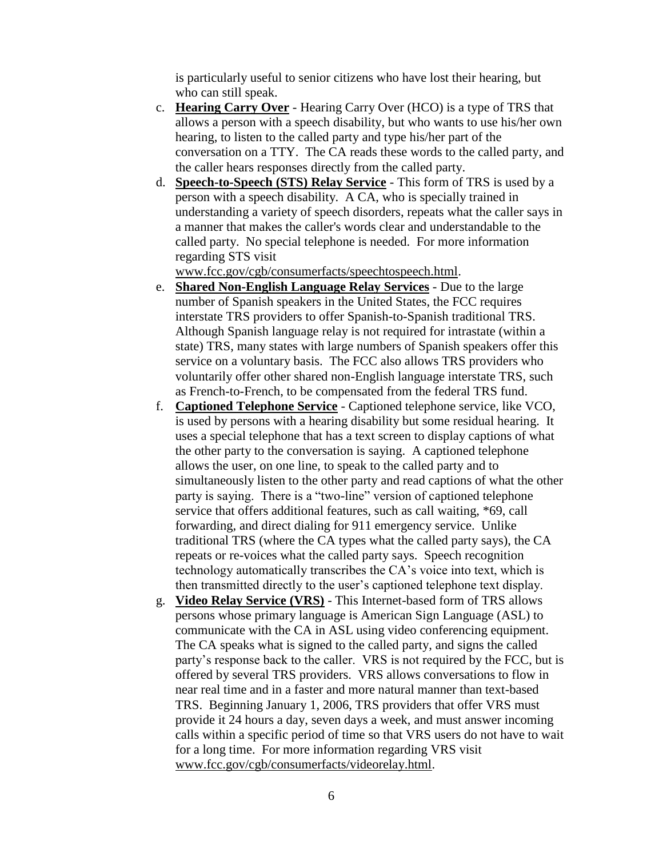is particularly useful to senior citizens who have lost their hearing, but who can still speak.

- c. **Hearing Carry Over** Hearing Carry Over (HCO) is a type of TRS that allows a person with a speech disability, but who wants to use his/her own hearing, to listen to the called party and type his/her part of the conversation on a TTY. The CA reads these words to the called party, and the caller hears responses directly from the called party.
- d. **Speech-to-Speech (STS) Relay Service** This form of TRS is used by a person with a speech disability. A CA, who is specially trained in understanding a variety of speech disorders, repeats what the caller says in a manner that makes the caller's words clear and understandable to the called party. No special telephone is needed. For more information regarding STS visit

[www.fcc.gov/cgb/consumerfacts/speechtospeech.html.](http://www.fcc.gov/cgb/consumerfacts/speechtospeech.html)

- e. **Shared Non-English Language Relay Services** Due to the large number of Spanish speakers in the United States, the FCC requires interstate TRS providers to offer Spanish-to-Spanish traditional TRS. Although Spanish language relay is not required for intrastate (within a state) TRS, many states with large numbers of Spanish speakers offer this service on a voluntary basis. The FCC also allows TRS providers who voluntarily offer other shared non-English language interstate TRS, such as French-to-French, to be compensated from the federal TRS fund.
- f. **Captioned Telephone Service** Captioned telephone service, like VCO, is used by persons with a hearing disability but some residual hearing. It uses a special telephone that has a text screen to display captions of what the other party to the conversation is saying. A captioned telephone allows the user, on one line, to speak to the called party and to simultaneously listen to the other party and read captions of what the other party is saying. There is a "two-line" version of captioned telephone service that offers additional features, such as call waiting, \*69, call forwarding, and direct dialing for 911 emergency service. Unlike traditional TRS (where the CA types what the called party says), the CA repeats or re-voices what the called party says. Speech recognition technology automatically transcribes the CA's voice into text, which is then transmitted directly to the user's captioned telephone text display.
- g. **Video Relay Service (VRS)** This Internet-based form of TRS allows persons whose primary language is American Sign Language (ASL) to communicate with the CA in ASL using video conferencing equipment. The CA speaks what is signed to the called party, and signs the called party's response back to the caller. VRS is not required by the FCC, but is offered by several TRS providers. VRS allows conversations to flow in near real time and in a faster and more natural manner than text-based TRS. Beginning January 1, 2006, TRS providers that offer VRS must provide it 24 hours a day, seven days a week, and must answer incoming calls within a specific period of time so that VRS users do not have to wait for a long time. For more information regarding VRS visit [www.fcc.gov/cgb/consumerfacts/videorelay.html.](http://www.fcc.gov/cgb/consumerfacts/videorelay.html)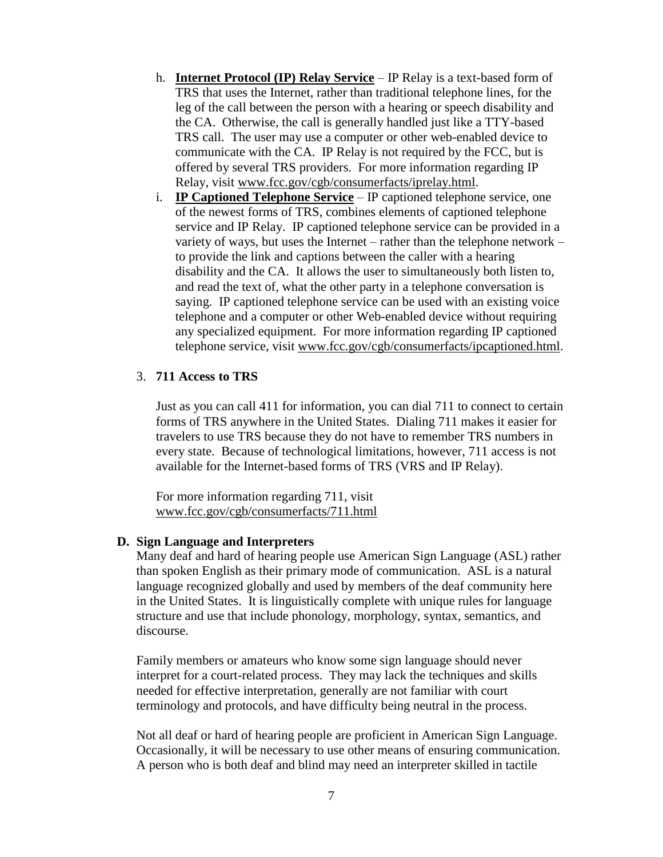- h. **Internet Protocol (IP) Relay Service** IP Relay is a text-based form of TRS that uses the Internet, rather than traditional telephone lines, for the leg of the call between the person with a hearing or speech disability and the CA. Otherwise, the call is generally handled just like a TTY-based TRS call. The user may use a computer or other web-enabled device to communicate with the CA. IP Relay is not required by the FCC, but is offered by several TRS providers. For more information regarding IP Relay, visit [www.fcc.gov/cgb/consumerfacts/iprelay.html.](http://www.fcc.gov/cgb/consumerfacts/iprelay.html)
- i. **IP Captioned Telephone Service** IP captioned telephone service, one of the newest forms of TRS, combines elements of captioned telephone service and IP Relay. IP captioned telephone service can be provided in a variety of ways, but uses the Internet – rather than the telephone network – to provide the link and captions between the caller with a hearing disability and the CA. It allows the user to simultaneously both listen to, and read the text of, what the other party in a telephone conversation is saying. IP captioned telephone service can be used with an existing voice telephone and a computer or other Web-enabled device without requiring any specialized equipment. For more information regarding IP captioned telephone service, visit [www.fcc.gov/cgb/consumerfacts/ipcaptioned.html.](http://www.fcc.gov/cgb/consumerfacts/ipcaptioned.html)

#### 3. **711 Access to TRS**

Just as you can call 411 for information, you can dial 711 to connect to certain forms of TRS anywhere in the United States. Dialing 711 makes it easier for travelers to use TRS because they do not have to remember TRS numbers in every state. Because of technological limitations, however, 711 access is not available for the Internet-based forms of TRS (VRS and IP Relay).

For more information regarding 711, visit [www.fcc.gov/cgb/consumerfacts/711.html](http://www.fcc.gov/cgb/consumerfacts/711.html)

#### **D. Sign Language and Interpreters**

Many deaf and hard of hearing people use American Sign Language (ASL) rather than spoken English as their primary mode of communication. ASL is a natural language recognized globally and used by members of the deaf community here in the United States. It is linguistically complete with unique rules for language structure and use that include phonology, morphology, syntax, semantics, and discourse.

Family members or amateurs who know some sign language should never interpret for a court-related process. They may lack the techniques and skills needed for effective interpretation, generally are not familiar with court terminology and protocols, and have difficulty being neutral in the process.

Not all deaf or hard of hearing people are proficient in American Sign Language. Occasionally, it will be necessary to use other means of ensuring communication. A person who is both deaf and blind may need an interpreter skilled in tactile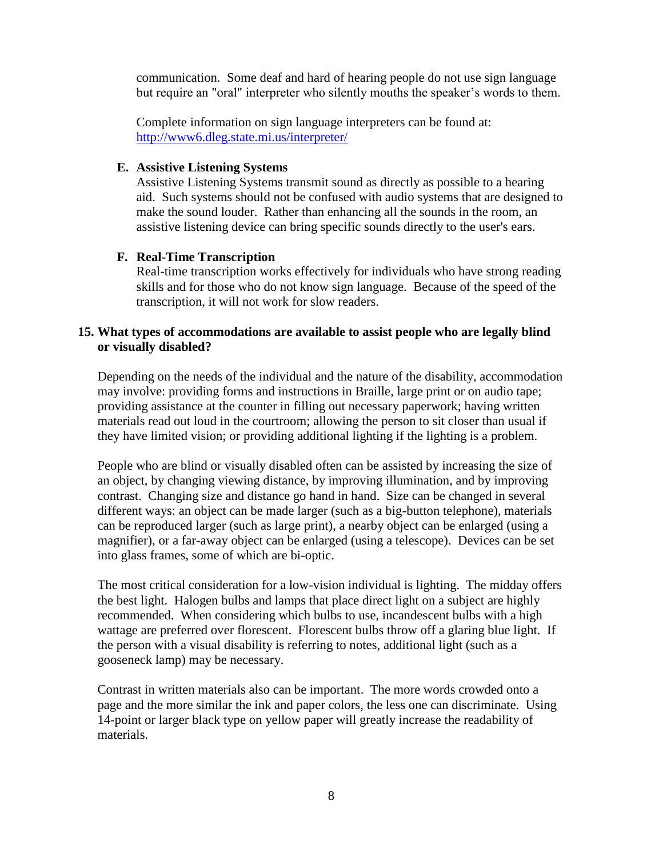communication. Some deaf and hard of hearing people do not use sign language but require an "oral" interpreter who silently mouths the speaker's words to them.

Complete information on sign language interpreters can be found at: <http://www6.dleg.state.mi.us/interpreter/>

## **E. Assistive Listening Systems**

Assistive Listening Systems transmit sound as directly as possible to a hearing aid. Such systems should not be confused with audio systems that are designed to make the sound louder. Rather than enhancing all the sounds in the room, an assistive listening device can bring specific sounds directly to the user's ears.

## **F. Real-Time Transcription**

Real-time transcription works effectively for individuals who have strong reading skills and for those who do not know sign language. Because of the speed of the transcription, it will not work for slow readers.

## **15. What types of accommodations are available to assist people who are legally blind or visually disabled?**

Depending on the needs of the individual and the nature of the disability, accommodation may involve: providing forms and instructions in Braille, large print or on audio tape; providing assistance at the counter in filling out necessary paperwork; having written materials read out loud in the courtroom; allowing the person to sit closer than usual if they have limited vision; or providing additional lighting if the lighting is a problem.

People who are blind or visually disabled often can be assisted by increasing the size of an object, by changing viewing distance, by improving illumination, and by improving contrast. Changing size and distance go hand in hand. Size can be changed in several different ways: an object can be made larger (such as a big-button telephone), materials can be reproduced larger (such as large print), a nearby object can be enlarged (using a magnifier), or a far-away object can be enlarged (using a telescope). Devices can be set into glass frames, some of which are bi-optic.

The most critical consideration for a low-vision individual is lighting. The midday offers the best light. Halogen bulbs and lamps that place direct light on a subject are highly recommended. When considering which bulbs to use, incandescent bulbs with a high wattage are preferred over florescent. Florescent bulbs throw off a glaring blue light. If the person with a visual disability is referring to notes, additional light (such as a gooseneck lamp) may be necessary.

Contrast in written materials also can be important. The more words crowded onto a page and the more similar the ink and paper colors, the less one can discriminate. Using 14-point or larger black type on yellow paper will greatly increase the readability of materials.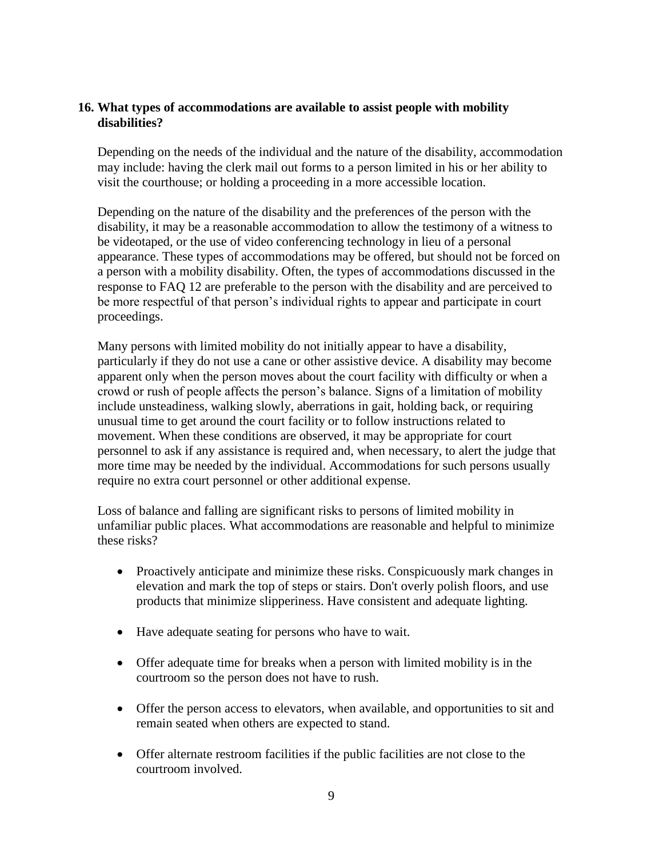## **16. What types of accommodations are available to assist people with mobility disabilities?**

Depending on the needs of the individual and the nature of the disability, accommodation may include: having the clerk mail out forms to a person limited in his or her ability to visit the courthouse; or holding a proceeding in a more accessible location.

Depending on the nature of the disability and the preferences of the person with the disability, it may be a reasonable accommodation to allow the testimony of a witness to be videotaped, or the use of video conferencing technology in lieu of a personal appearance. These types of accommodations may be offered, but should not be forced on a person with a mobility disability. Often, the types of accommodations discussed in the response to FAQ 12 are preferable to the person with the disability and are perceived to be more respectful of that person's individual rights to appear and participate in court proceedings.

Many persons with limited mobility do not initially appear to have a disability, particularly if they do not use a cane or other assistive device. A disability may become apparent only when the person moves about the court facility with difficulty or when a crowd or rush of people affects the person's balance. Signs of a limitation of mobility include unsteadiness, walking slowly, aberrations in gait, holding back, or requiring unusual time to get around the court facility or to follow instructions related to movement. When these conditions are observed, it may be appropriate for court personnel to ask if any assistance is required and, when necessary, to alert the judge that more time may be needed by the individual. Accommodations for such persons usually require no extra court personnel or other additional expense.

Loss of balance and falling are significant risks to persons of limited mobility in unfamiliar public places. What accommodations are reasonable and helpful to minimize these risks?

- Proactively anticipate and minimize these risks. Conspicuously mark changes in elevation and mark the top of steps or stairs. Don't overly polish floors, and use products that minimize slipperiness. Have consistent and adequate lighting.
- Have adequate seating for persons who have to wait.
- Offer adequate time for breaks when a person with limited mobility is in the courtroom so the person does not have to rush.
- Offer the person access to elevators, when available, and opportunities to sit and remain seated when others are expected to stand.
- Offer alternate restroom facilities if the public facilities are not close to the courtroom involved.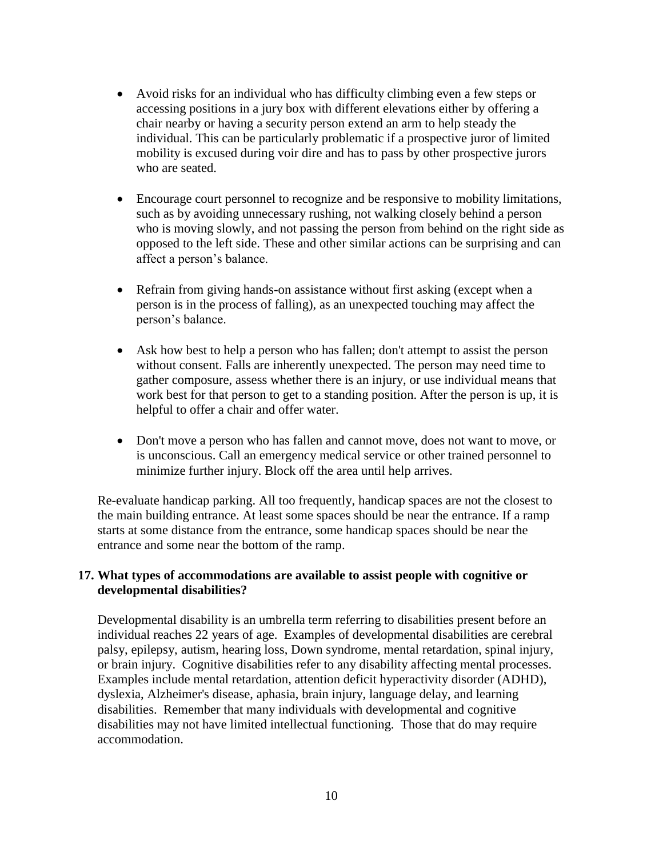- Avoid risks for an individual who has difficulty climbing even a few steps or accessing positions in a jury box with different elevations either by offering a chair nearby or having a security person extend an arm to help steady the individual. This can be particularly problematic if a prospective juror of limited mobility is excused during voir dire and has to pass by other prospective jurors who are seated.
- Encourage court personnel to recognize and be responsive to mobility limitations, such as by avoiding unnecessary rushing, not walking closely behind a person who is moving slowly, and not passing the person from behind on the right side as opposed to the left side. These and other similar actions can be surprising and can affect a person's balance.
- Refrain from giving hands-on assistance without first asking (except when a person is in the process of falling), as an unexpected touching may affect the person's balance.
- Ask how best to help a person who has fallen; don't attempt to assist the person without consent. Falls are inherently unexpected. The person may need time to gather composure, assess whether there is an injury, or use individual means that work best for that person to get to a standing position. After the person is up, it is helpful to offer a chair and offer water.
- Don't move a person who has fallen and cannot move, does not want to move, or is unconscious. Call an emergency medical service or other trained personnel to minimize further injury. Block off the area until help arrives.

Re-evaluate handicap parking. All too frequently, handicap spaces are not the closest to the main building entrance. At least some spaces should be near the entrance. If a ramp starts at some distance from the entrance, some handicap spaces should be near the entrance and some near the bottom of the ramp.

## **17. What types of accommodations are available to assist people with cognitive or developmental disabilities?**

Developmental disability is an umbrella term referring to disabilities present before an individual reaches 22 years of age. Examples of developmental disabilities are cerebral palsy, epilepsy, autism, hearing loss, Down syndrome, mental retardation, spinal injury, or brain injury. Cognitive disabilities refer to any disability affecting mental processes. Examples include mental retardation, attention deficit hyperactivity disorder (ADHD), dyslexia, Alzheimer's disease, aphasia, brain injury, language delay, and learning disabilities. Remember that many individuals with developmental and cognitive disabilities may not have limited intellectual functioning. Those that do may require accommodation.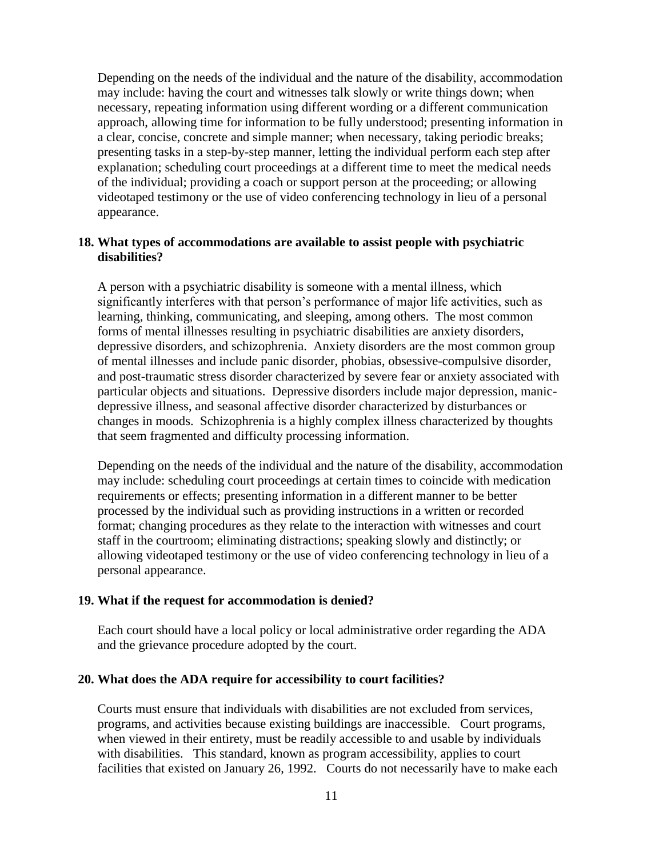Depending on the needs of the individual and the nature of the disability, accommodation may include: having the court and witnesses talk slowly or write things down; when necessary, repeating information using different wording or a different communication approach, allowing time for information to be fully understood; presenting information in a clear, concise, concrete and simple manner; when necessary, taking periodic breaks; presenting tasks in a step-by-step manner, letting the individual perform each step after explanation; scheduling court proceedings at a different time to meet the medical needs of the individual; providing a coach or support person at the proceeding; or allowing videotaped testimony or the use of video conferencing technology in lieu of a personal appearance.

#### **18. What types of accommodations are available to assist people with psychiatric disabilities?**

A person with a psychiatric disability is someone with a mental illness, which significantly interferes with that person's performance of major life activities, such as learning, thinking, communicating, and sleeping, among others. The most common forms of mental illnesses resulting in psychiatric disabilities are anxiety disorders, depressive disorders, and schizophrenia. Anxiety disorders are the most common group of mental illnesses and include panic disorder, phobias, obsessive-compulsive disorder, and post-traumatic stress disorder characterized by severe fear or anxiety associated with particular objects and situations. Depressive disorders include major depression, manicdepressive illness, and seasonal affective disorder characterized by disturbances or changes in moods. Schizophrenia is a highly complex illness characterized by thoughts that seem fragmented and difficulty processing information.

Depending on the needs of the individual and the nature of the disability, accommodation may include: scheduling court proceedings at certain times to coincide with medication requirements or effects; presenting information in a different manner to be better processed by the individual such as providing instructions in a written or recorded format; changing procedures as they relate to the interaction with witnesses and court staff in the courtroom; eliminating distractions; speaking slowly and distinctly; or allowing videotaped testimony or the use of video conferencing technology in lieu of a personal appearance.

#### **19. What if the request for accommodation is denied?**

Each court should have a local policy or local administrative order regarding the ADA and the grievance procedure adopted by the court.

#### **20. What does the ADA require for accessibility to court facilities?**

Courts must ensure that individuals with disabilities are not excluded from services, programs, and activities because existing buildings are inaccessible. Court programs, when viewed in their entirety, must be readily accessible to and usable by individuals with disabilities. This standard, known as program accessibility, applies to court facilities that existed on January 26, 1992. Courts do not necessarily have to make each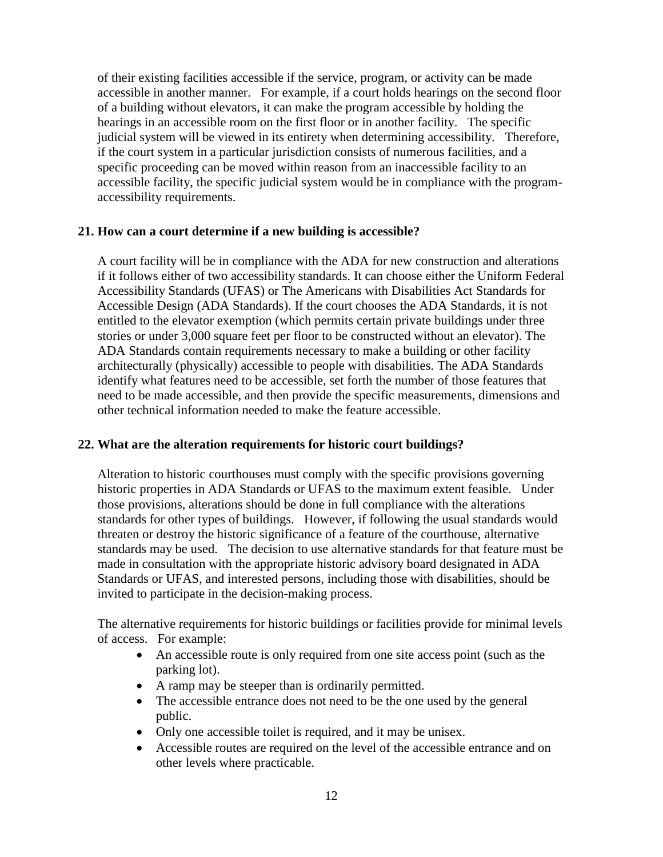of their existing facilities accessible if the service, program, or activity can be made accessible in another manner. For example, if a court holds hearings on the second floor of a building without elevators, it can make the program accessible by holding the hearings in an accessible room on the first floor or in another facility. The specific judicial system will be viewed in its entirety when determining accessibility. Therefore, if the court system in a particular jurisdiction consists of numerous facilities, and a specific proceeding can be moved within reason from an inaccessible facility to an accessible facility, the specific judicial system would be in compliance with the programaccessibility requirements.

### **21. How can a court determine if a new building is accessible?**

A court facility will be in compliance with the ADA for new construction and alterations if it follows either of two accessibility standards. It can choose either the Uniform Federal Accessibility Standards (UFAS) or The Americans with Disabilities Act Standards for Accessible Design (ADA Standards). If the court chooses the ADA Standards, it is not entitled to the elevator exemption (which permits certain private buildings under three stories or under 3,000 square feet per floor to be constructed without an elevator). The ADA Standards contain requirements necessary to make a building or other facility architecturally (physically) accessible to people with disabilities. The ADA Standards identify what features need to be accessible, set forth the number of those features that need to be made accessible, and then provide the specific measurements, dimensions and other technical information needed to make the feature accessible.

#### **22. What are the alteration requirements for historic court buildings?**

Alteration to historic courthouses must comply with the specific provisions governing historic properties in ADA Standards or UFAS to the maximum extent feasible. Under those provisions, alterations should be done in full compliance with the alterations standards for other types of buildings. However, if following the usual standards would threaten or destroy the historic significance of a feature of the courthouse, alternative standards may be used. The decision to use alternative standards for that feature must be made in consultation with the appropriate historic advisory board designated in ADA Standards or UFAS, and interested persons, including those with disabilities, should be invited to participate in the decision-making process.

The alternative requirements for historic buildings or facilities provide for minimal levels of access. For example:

- An accessible route is only required from one site access point (such as the parking lot).
- A ramp may be steeper than is ordinarily permitted.
- The accessible entrance does not need to be the one used by the general public.
- Only one accessible toilet is required, and it may be unisex.
- Accessible routes are required on the level of the accessible entrance and on other levels where practicable.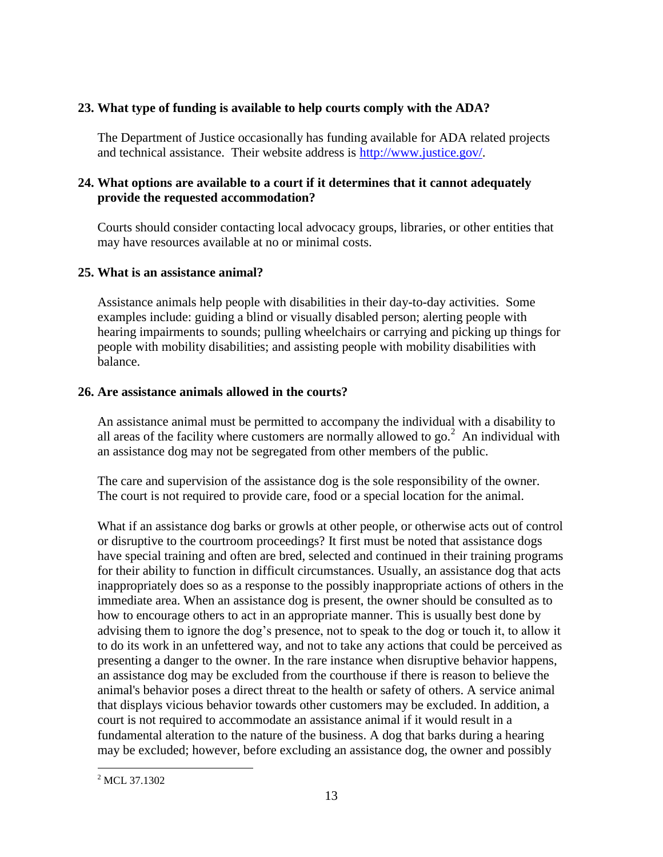## **23. What type of funding is available to help courts comply with the ADA?**

The Department of Justice occasionally has funding available for ADA related projects and technical assistance. Their website address is [http://www.justice.gov/.](http://www.justice.gov/)

## **24. What options are available to a court if it determines that it cannot adequately provide the requested accommodation?**

Courts should consider contacting local advocacy groups, libraries, or other entities that may have resources available at no or minimal costs.

## **25. What is an assistance animal?**

Assistance animals help people with disabilities in their day-to-day activities. Some examples include: guiding a blind or visually disabled person; alerting people with hearing impairments to sounds; pulling wheelchairs or carrying and picking up things for people with mobility disabilities; and assisting people with mobility disabilities with balance.

## **26. Are assistance animals allowed in the courts?**

An assistance animal must be permitted to accompany the individual with a disability to all areas of the facility where customers are normally allowed to go.<sup>2</sup> An individual with an assistance dog may not be segregated from other members of the public.

The care and supervision of the assistance dog is the sole responsibility of the owner. The court is not required to provide care, food or a special location for the animal.

What if an assistance dog barks or growls at other people, or otherwise acts out of control or disruptive to the courtroom proceedings? It first must be noted that assistance dogs have special training and often are bred, selected and continued in their training programs for their ability to function in difficult circumstances. Usually, an assistance dog that acts inappropriately does so as a response to the possibly inappropriate actions of others in the immediate area. When an assistance dog is present, the owner should be consulted as to how to encourage others to act in an appropriate manner. This is usually best done by advising them to ignore the dog's presence, not to speak to the dog or touch it, to allow it to do its work in an unfettered way, and not to take any actions that could be perceived as presenting a danger to the owner. In the rare instance when disruptive behavior happens, an assistance dog may be excluded from the courthouse if there is reason to believe the animal's behavior poses a direct threat to the health or safety of others. A service animal that displays vicious behavior towards other customers may be excluded. In addition, a court is not required to accommodate an assistance animal if it would result in a fundamental alteration to the nature of the business. A dog that barks during a hearing may be excluded; however, before excluding an assistance dog, the owner and possibly

 $\overline{a}$ <sup>2</sup> MCL 37.1302